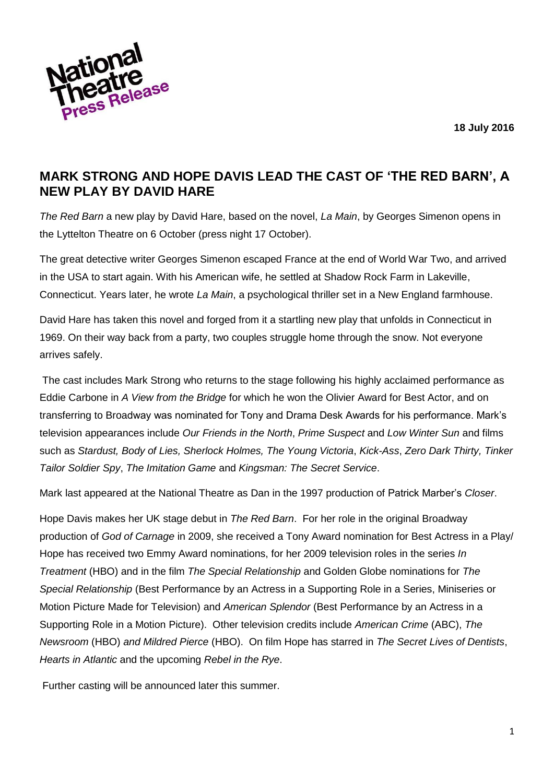**18 July 2016**



## **MARK STRONG AND HOPE DAVIS LEAD THE CAST OF 'THE RED BARN', A NEW PLAY BY DAVID HARE**

*The Red Barn* a new play by David Hare, based on the novel, *La Main*, by Georges Simenon opens in the Lyttelton Theatre on 6 October (press night 17 October).

The great detective writer Georges Simenon escaped France at the end of World War Two, and arrived in the USA to start again. With his American wife, he settled at Shadow Rock Farm in Lakeville, Connecticut. Years later, he wrote *La Main*, a psychological thriller set in a New England farmhouse.

David Hare has taken this novel and forged from it a startling new play that unfolds in Connecticut in 1969. On their way back from a party, two couples struggle home through the snow. Not everyone arrives safely.

The cast includes Mark Strong who returns to the stage following his highly acclaimed performance as Eddie Carbone in *A View from the Bridge* for which he won the Olivier Award for Best Actor, and on transferring to Broadway was nominated for Tony and Drama Desk Awards for his performance. Mark's television appearances include *Our Friends in the North*, *Prime Suspect* and *Low Winter Sun* and films such as *Stardust, Body of Lies, Sherlock Holmes, The Young Victoria*, *Kick-Ass*, *Zero Dark Thirty, Tinker Tailor Soldier Spy*, *The Imitation Game* and *Kingsman: The Secret Service*.

Mark last appeared at the National Theatre as Dan in the 1997 production of Patrick Marber's *Closer*.

Hope Davis makes her UK stage debut in *The Red Barn*. For her role in the original [Broadway](https://en.wikipedia.org/wiki/Broadway_(theatre)) production of *[God of Carnage](https://en.wikipedia.org/wiki/God_of_Carnage)* in 2009, she received a [Tony Award](https://en.wikipedia.org/wiki/Tony_Award) nomination for [Best Actress in a Play/](https://en.wikipedia.org/wiki/Tony_Award_for_Best_Actress_in_a_Play) Hope has received two [Emmy Award](https://en.wikipedia.org/wiki/Emmy_Award) nominations, for her 2009 television roles in the series *In Treatment* (HBO) and in the film *The Special Relationship* and Golden Globe nominations for *The Special Relationship* (Best Performance by an Actress in a Supporting Role in a Series, Miniseries or Motion Picture Made for Television) and *American Splendor* (Best Performance by an Actress in a Supporting Role in a Motion Picture). Other television credits include *American Crime* (ABC), *The Newsroom* (HBO) *and Mildred Pierce* (HBO). On film Hope has starred in *The Secret Lives of Dentists*, *Hearts in Atlantic* and the upcoming *Rebel in the Rye*.

Further casting will be announced later this summer.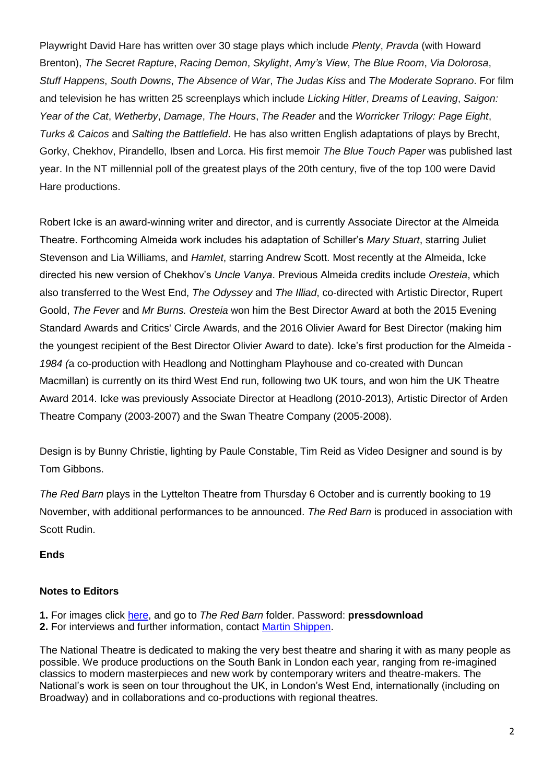Playwright David Hare has written over 30 stage plays which include *Plenty*, *Pravda* (with Howard Brenton), *The Secret Rapture*, *Racing Demon*, *Skylight*, *Amy's View*, *The Blue Room*, *Via Dolorosa*, *Stuff Happens*, *South Downs*, *The Absence of War*, *The Judas Kiss* and *The Moderate Soprano*. For film and television he has written 25 screenplays which include *Licking Hitler*, *Dreams of Leaving*, *Saigon: Year of the Cat*, *Wetherby*, *Damage*, *The Hours*, *The Reader* and the *Worricker Trilogy: Page Eight*, *Turks & Caicos* and *Salting the Battlefield*. He has also written English adaptations of plays by Brecht, Gorky, Chekhov, Pirandello, Ibsen and Lorca. His first memoir *The Blue Touch Paper* was published last year. In the NT millennial poll of the greatest plays of the 20th century, five of the top 100 were David Hare productions.

Robert Icke is an award-winning writer and director, and is currently Associate Director at the Almeida Theatre. Forthcoming Almeida work includes his adaptation of Schiller's *Mary Stuart*, starring Juliet Stevenson and Lia Williams, and *Hamlet*, starring Andrew Scott. Most recently at the Almeida, Icke directed his new version of Chekhov's *Uncle Vanya*. Previous Almeida credits include *Oresteia*, which also transferred to the West End, *The Odyssey* and *The Illiad*, co-directed with Artistic Director, Rupert Goold, *The Fever* and *Mr Burns. Oresteia* won him the Best Director Award at both the 2015 Evening Standard Awards and Critics' Circle Awards, and the 2016 Olivier Award for Best Director (making him the youngest recipient of the Best Director Olivier Award to date). Icke's first production for the Almeida - *1984 (*a co-production with Headlong and Nottingham Playhouse and co-created with Duncan Macmillan) is currently on its third West End run, following two UK tours, and won him the UK Theatre Award 2014. Icke was previously Associate Director at Headlong (2010-2013), Artistic Director of Arden Theatre Company (2003-2007) and the Swan Theatre Company (2005-2008).

Design is by Bunny Christie, lighting by Paule Constable, Tim Reid as Video Designer and sound is by Tom Gibbons.

*The Red Barn* plays in the Lyttelton Theatre from Thursday 6 October and is currently booking to 19 November, with additional performances to be announced. *The Red Barn* is produced in association with Scott Rudin.

## **Ends**

## **Notes to Editors**

**1.** For images click [here,](https://www.dropbox.com/sh/uugt5fczp991r7n/AACDbMzuAydKSTo-3_115vRHa?dl=0) and go to *The Red Barn* folder. Password: **pressdownload 2.** For interviews and further information, contact [Martin](mailto:mshippen@nationaltheatre.org.uk) [Shippen.](mailto:mshippen@nationaltheatre.org.uk)

The National Theatre is dedicated to making the very best theatre and sharing it with as many people as possible. We produce productions on the South Bank in London each year, ranging from re-imagined classics to modern masterpieces and new work by contemporary writers and theatre-makers. The National's work is seen on tour throughout the UK, in London's West End, internationally (including on Broadway) and in collaborations and co-productions with regional theatres.